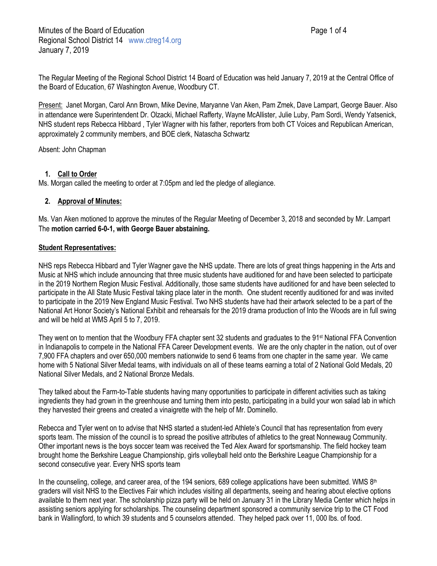The Regular Meeting of the Regional School District 14 Board of Education was held January 7, 2019 at the Central Office of the Board of Education, 67 Washington Avenue, Woodbury CT.

Present: Janet Morgan, Carol Ann Brown, Mike Devine, Maryanne Van Aken, Pam Zmek, Dave Lampart, George Bauer. Also in attendance were Superintendent Dr. Olzacki, Michael Rafferty, Wayne McAllister, Julie Luby, Pam Sordi, Wendy Yatsenick, NHS student reps Rebecca Hibbard , Tyler Wagner with his father, reporters from both CT Voices and Republican American, approximately 2 community members, and BOE clerk, Natascha Schwartz

Absent: John Chapman

# **1. Call to Order**

Ms. Morgan called the meeting to order at 7:05pm and led the pledge of allegiance.

## **2. Approval of Minutes:**

Ms. Van Aken motioned to approve the minutes of the Regular Meeting of December 3, 2018 and seconded by Mr. Lampart The **motion carried 6-0-1, with George Bauer abstaining.**

### **Student Representatives:**

NHS reps Rebecca Hibbard and Tyler Wagner gave the NHS update. There are lots of great things happening in the Arts and Music at NHS which include announcing that three music students have auditioned for and have been selected to participate in the 2019 Northern Region Music Festival. Additionally, those same students have auditioned for and have been selected to participate in the All State Music Festival taking place later in the month. One student recently auditioned for and was invited to participate in the 2019 New England Music Festival. Two NHS students have had their artwork selected to be a part of the National Art Honor Society's National Exhibit and rehearsals for the 2019 drama production of Into the Woods are in full swing and will be held at WMS April 5 to 7, 2019.

They went on to mention that the Woodbury FFA chapter sent 32 students and graduates to the 91st National FFA Convention in Indianapolis to compete in the National FFA Career Development events. We are the only chapter in the nation, out of over 7,900 FFA chapters and over 650,000 members nationwide to send 6 teams from one chapter in the same year. We came home with 5 National Silver Medal teams, with individuals on all of these teams earning a total of 2 National Gold Medals, 20 National Silver Medals, and 2 National Bronze Medals.

They talked about the Farm-to-Table students having many opportunities to participate in different activities such as taking ingredients they had grown in the greenhouse and turning them into pesto, participating in a build your won salad lab in which they harvested their greens and created a vinaigrette with the help of Mr. Dominello.

Rebecca and Tyler went on to advise that NHS started a student-led Athlete's Council that has representation from every sports team. The mission of the council is to spread the positive attributes of athletics to the great Nonnewaug Community. Other important news is the boys soccer team was received the Ted Alex Award for sportsmanship. The field hockey team brought home the Berkshire League Championship, girls volleyball held onto the Berkshire League Championship for a second consecutive year. Every NHS sports team

In the counseling, college, and career area, of the 194 seniors, 689 college applications have been submitted. WMS  $8<sup>th</sup>$ graders will visit NHS to the Electives Fair which includes visiting all departments, seeing and hearing about elective options available to them next year. The scholarship pizza party will be held on January 31 in the Library Media Center which helps in assisting seniors applying for scholarships. The counseling department sponsored a community service trip to the CT Food bank in Wallingford, to which 39 students and 5 counselors attended. They helped pack over 11, 000 lbs. of food.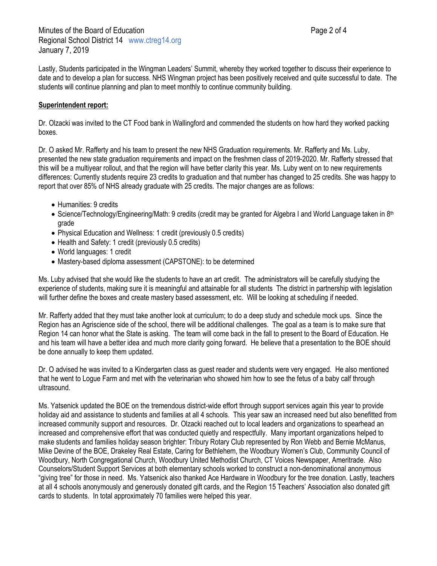Lastly, Students participated in the Wingman Leaders' Summit, whereby they worked together to discuss their experience to date and to develop a plan for success. NHS Wingman project has been positively received and quite successful to date. The students will continue planning and plan to meet monthly to continue community building.

#### **Superintendent report:**

Dr. Olzacki was invited to the CT Food bank in Wallingford and commended the students on how hard they worked packing boxes.

Dr. O asked Mr. Rafferty and his team to present the new NHS Graduation requirements. Mr. Rafferty and Ms. Luby, presented the new state graduation requirements and impact on the freshmen class of 2019-2020. Mr. Rafferty stressed that this will be a multiyear rollout, and that the region will have better clarity this year. Ms. Luby went on to new requirements differences: Currently students require 23 credits to graduation and that number has changed to 25 credits. She was happy to report that over 85% of NHS already graduate with 25 credits. The major changes are as follows:

- Humanities: 9 credits
- Science/Technology/Engineering/Math: 9 credits (credit may be granted for Algebra I and World Language taken in 8th grade
- Physical Education and Wellness: 1 credit (previously 0.5 credits)
- Health and Safety: 1 credit (previously 0.5 credits)
- World languages: 1 credit
- Mastery-based diploma assessment (CAPSTONE): to be determined

Ms. Luby advised that she would like the students to have an art credit. The administrators will be carefully studying the experience of students, making sure it is meaningful and attainable for all students The district in partnership with legislation will further define the boxes and create mastery based assessment, etc. Will be looking at scheduling if needed.

Mr. Rafferty added that they must take another look at curriculum; to do a deep study and schedule mock ups. Since the Region has an Agriscience side of the school, there will be additional challenges. The goal as a team is to make sure that Region 14 can honor what the State is asking. The team will come back in the fall to present to the Board of Education. He and his team will have a better idea and much more clarity going forward. He believe that a presentation to the BOE should be done annually to keep them updated.

Dr. O advised he was invited to a Kindergarten class as guest reader and students were very engaged. He also mentioned that he went to Logue Farm and met with the veterinarian who showed him how to see the fetus of a baby calf through ultrasound.

Ms. Yatsenick updated the BOE on the tremendous district-wide effort through support services again this year to provide holiday aid and assistance to students and families at all 4 schools. This year saw an increased need but also benefitted from increased community support and resources. Dr. Olzacki reached out to local leaders and organizations to spearhead an increased and comprehensive effort that was conducted quietly and respectfully. Many important organizations helped to make students and families holiday season brighter: Tribury Rotary Club represented by Ron Webb and Bernie McManus, Mike Devine of the BOE, Drakeley Real Estate, Caring for Bethlehem, the Woodbury Women's Club, Community Council of Woodbury, North Congregational Church, Woodbury United Methodist Church, CT Voices Newspaper, Ameritrade. Also Counselors/Student Support Services at both elementary schools worked to construct a non-denominational anonymous "giving tree" for those in need. Ms. Yatsenick also thanked Ace Hardware in Woodbury for the tree donation. Lastly, teachers at all 4 schools anonymously and generously donated gift cards, and the Region 15 Teachers' Association also donated gift cards to students. In total approximately 70 families were helped this year.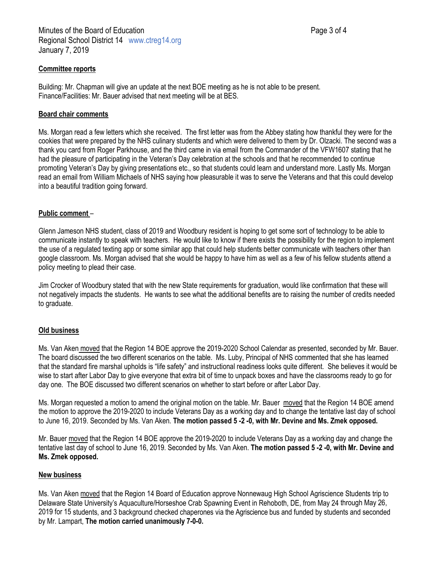### **Committee reports**

Building: Mr. Chapman will give an update at the next BOE meeting as he is not able to be present. Finance/Facilities: Mr. Bauer advised that next meeting will be at BES.

### **Board chair comments**

Ms. Morgan read a few letters which she received. The first letter was from the Abbey stating how thankful they were for the cookies that were prepared by the NHS culinary students and which were delivered to them by Dr. Olzacki. The second was a thank you card from Roger Parkhouse, and the third came in via email from the Commander of the VFW1607 stating that he had the pleasure of participating in the Veteran's Day celebration at the schools and that he recommended to continue promoting Veteran's Day by giving presentations etc., so that students could learn and understand more. Lastly Ms. Morgan read an email from William Michaels of NHS saying how pleasurable it was to serve the Veterans and that this could develop into a beautiful tradition going forward.

### **Public comment** –

Glenn Jameson NHS student, class of 2019 and Woodbury resident is hoping to get some sort of technology to be able to communicate instantly to speak with teachers. He would like to know if there exists the possibility for the region to implement the use of a regulated texting app or some similar app that could help students better communicate with teachers other than google classroom. Ms. Morgan advised that she would be happy to have him as well as a few of his fellow students attend a policy meeting to plead their case.

Jim Crocker of Woodbury stated that with the new State requirements for graduation, would like confirmation that these will not negatively impacts the students. He wants to see what the additional benefits are to raising the number of credits needed to graduate.

### **Old business**

Ms. Van Aken moved that the Region 14 BOE approve the 2019-2020 School Calendar as presented, seconded by Mr. Bauer. The board discussed the two different scenarios on the table. Ms. Luby, Principal of NHS commented that she has learned that the standard fire marshal upholds is "life safety" and instructional readiness looks quite different. She believes it would be wise to start after Labor Day to give everyone that extra bit of time to unpack boxes and have the classrooms ready to go for day one. The BOE discussed two different scenarios on whether to start before or after Labor Day.

Ms. Morgan requested a motion to amend the original motion on the table. Mr. Bauer moved that the Region 14 BOE amend the motion to approve the 2019-2020 to include Veterans Day as a working day and to change the tentative last day of school to June 16, 2019. Seconded by Ms. Van Aken. **The motion passed 5 -2 -0, with Mr. Devine and Ms. Zmek opposed.**

Mr. Bauer moved that the Region 14 BOE approve the 2019-2020 to include Veterans Day as a working day and change the tentative last day of school to June 16, 2019. Seconded by Ms. Van Aken. **The motion passed 5 -2 -0, with Mr. Devine and Ms. Zmek opposed.**

### **New business**

Ms. Van Aken moved that the Region 14 Board of Education approve Nonnewaug High School Agriscience Students trip to Delaware State University's Aquaculture/Horseshoe Crab Spawning Event in Rehoboth, DE, from May 24 through May 26, 2019 for 15 students, and 3 background checked chaperones via the Agriscience bus and funded by students and seconded by Mr. Lampart, **The motion carried unanimously 7-0-0.**